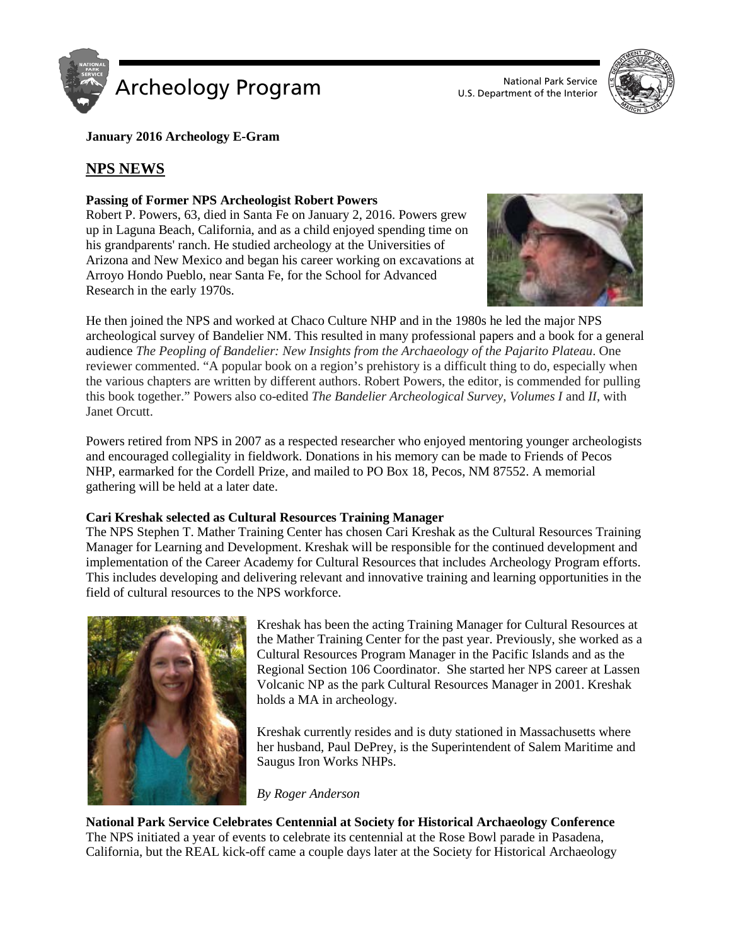



**January 2016 Archeology E-Gram**

# **NPS NEWS**

# **Passing of Former NPS Archeologist Robert Powers**

Robert P. Powers, 63, died in Santa Fe on January 2, 2016. Powers grew up in Laguna Beach, California, and as a child enjoyed spending time on his grandparents' ranch. He studied archeology at the Universities of Arizona and New Mexico and began his career working on excavations at Arroyo Hondo Pueblo, near Santa Fe, for the School for Advanced Research in the early 1970s.



He then joined the NPS and worked at Chaco Culture NHP and in the 1980s he led the major NPS archeological survey of Bandelier NM. This resulted in many professional papers and a book for a general audience *The Peopling of Bandelier: New Insights from the Archaeology of the Pajarito Plateau*. One reviewer commented. "A popular book on a region's prehistory is a difficult thing to do, especially when the various chapters are written by different authors. Robert Powers, the editor, is commended for pulling this book together." Powers also co-edited *The Bandelier Archeological Survey, Volumes I* and *II*, with Janet Orcutt.

Powers retired from NPS in 2007 as a respected researcher who enjoyed mentoring younger archeologists and encouraged collegiality in fieldwork. Donations in his memory can be made to Friends of Pecos NHP, earmarked for the Cordell Prize, and mailed to PO Box 18, Pecos, NM 87552. A memorial gathering will be held at a later date.

# **Cari Kreshak selected as Cultural Resources Training Manager**

The NPS Stephen T. Mather Training Center has chosen Cari Kreshak as the Cultural Resources Training Manager for Learning and Development. Kreshak will be responsible for the continued development and implementation of the Career Academy for Cultural Resources that includes Archeology Program efforts. This includes developing and delivering relevant and innovative training and learning opportunities in the field of cultural resources to the NPS workforce.



Kreshak has been the acting Training Manager for Cultural Resources at the Mather Training Center for the past year. Previously, she worked as a Cultural Resources Program Manager in the Pacific Islands and as the Regional Section 106 Coordinator. She started her NPS career at Lassen Volcanic NP as the park Cultural Resources Manager in 2001. Kreshak holds a MA in archeology.

Kreshak currently resides and is duty stationed in Massachusetts where her husband, Paul DePrey, is the Superintendent of Salem Maritime and Saugus Iron Works NHPs.

# *By Roger Anderson*

**National Park Service Celebrates Centennial at Society for Historical Archaeology Conference** The NPS initiated a year of events to celebrate its centennial at the Rose Bowl parade in Pasadena, California, but the REAL kick-off came a couple days later at the Society for Historical Archaeology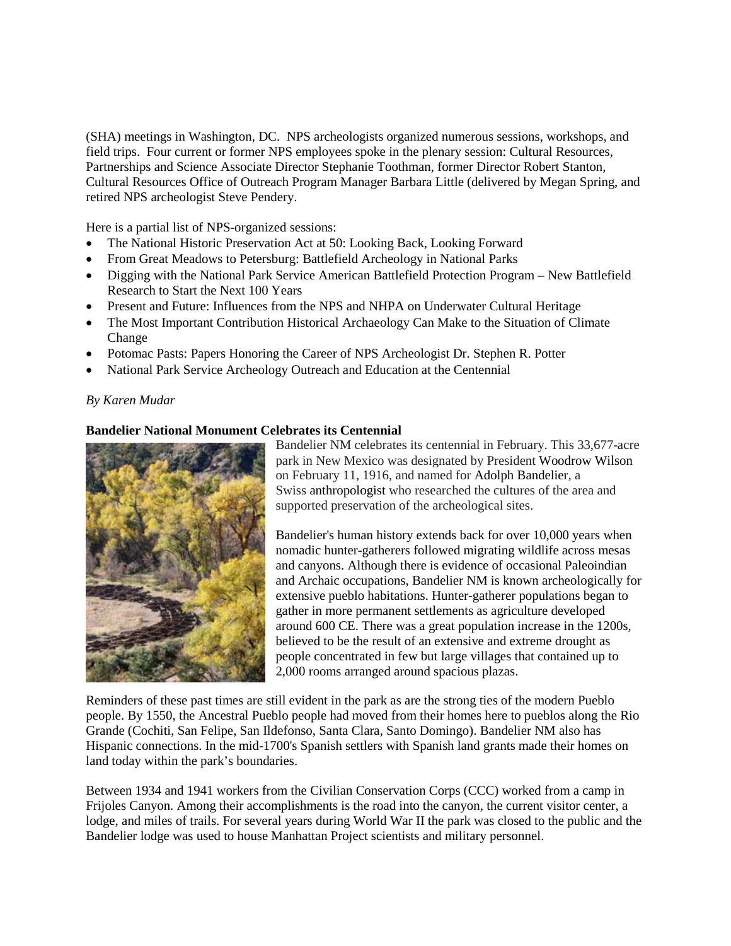(SHA) meetings in Washington, DC. NPS archeologists organized numerous sessions, workshops, and field trips. Four current or former NPS employees spoke in the plenary session: Cultural Resources, Partnerships and Science Associate Director Stephanie Toothman, former Director Robert Stanton, Cultural Resources Office of Outreach Program Manager Barbara Little (delivered by Megan Spring, and retired NPS archeologist Steve Pendery.

Here is a partial list of NPS-organized sessions:

- The National Historic Preservation Act at 50: Looking Back, Looking Forward
- From Great Meadows to Petersburg: Battlefield Archeology in National Parks
- Digging with the National Park Service American Battlefield Protection Program New Battlefield Research to Start the Next 100 Years
- Present and Future: Influences from the NPS and NHPA on Underwater Cultural Heritage
- The Most Important Contribution Historical Archaeology Can Make to the Situation of Climate Change
- Potomac Pasts: Papers Honoring the Career of NPS Archeologist Dr. Stephen R. Potter
- National Park Service Archeology Outreach and Education at the Centennial

### *By Karen Mudar*

### **Bandelier National Monument Celebrates its Centennial**



Bandelier NM celebrates its centennial in February. This 33,677-acre park in New Mexico was designated by President Woodrow Wilson on February 11, 1916, and named for Adolph Bandelier, a Swiss anthropologist who researched the cultures of the area and supported preservation of the archeological sites.

Bandelier's human history extends back for over 10,000 years when nomadic hunter-gatherers followed migrating wildlife across mesas and canyons. Although there is evidence of occasional Paleoindian and Archaic occupations, Bandelier NM is known archeologically for extensive pueblo habitations. Hunter-gatherer populations began to gather in more permanent settlements as agriculture developed around 600 CE. There was a great population increase in the 1200s, believed to be the result of an extensive and extreme drought as people concentrated in few but large villages that contained up to 2,000 rooms arranged around spacious plazas.

Reminders of these past times are still evident in the park as are the strong ties of the modern Pueblo people. By 1550, the Ancestral Pueblo people had moved from their homes here to pueblos along the Rio Grande (Cochiti, San Felipe, San Ildefonso, Santa Clara, Santo Domingo). Bandelier NM also has Hispanic connections. In the mid-1700's Spanish settlers with Spanish land grants made their homes on land today within the park's boundaries.

Between 1934 and 1941 workers from the Civilian Conservation Corps (CCC) worked from a camp in Frijoles Canyon. Among their accomplishments is the road into the canyon, the current visitor center, a lodge, and miles of trails. For several years during World War II the park was closed to the public and the Bandelier lodge was used to house Manhattan Project scientists and military personnel.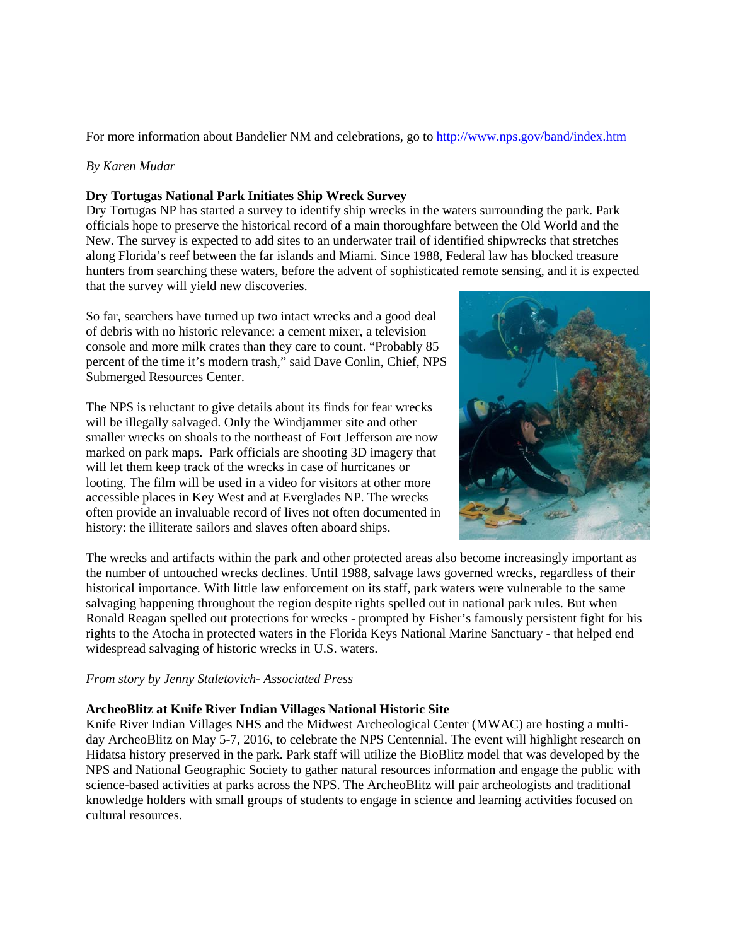For more information about Bandelier NM and celebrations, go t[o http://www.nps.gov/band/index.htm](http://www.nps.gov/band/index.htm)

### *By Karen Mudar*

### **Dry Tortugas National Park Initiates Ship Wreck Survey**

Dry Tortugas NP has started a survey to identify ship wrecks in the waters surrounding the park. Park officials hope to preserve the historical record of a main thoroughfare between the Old World and the New. The survey is expected to add sites to an underwater trail of identified shipwrecks that stretches along Florida's reef between the far islands and Miami. Since 1988, Federal law has blocked treasure hunters from searching these waters, before the advent of sophisticated remote sensing, and it is expected that the survey will yield new discoveries.

So far, searchers have turned up two intact wrecks and a good deal of debris with no historic relevance: a cement mixer, a television console and more milk crates than they care to count. "Probably 85 percent of the time it's modern trash," said Dave Conlin, Chief, NPS Submerged Resources Center.

The NPS is reluctant to give details about its finds for fear wrecks will be illegally salvaged. Only the Windjammer site and other smaller wrecks on shoals to the northeast of Fort Jefferson are now marked on park maps. Park officials are shooting 3D imagery that will let them keep track of the wrecks in case of hurricanes or looting. The film will be used in a video for visitors at other more accessible places in Key West and at Everglades NP. The wrecks often provide an invaluable record of lives not often documented in history: the illiterate sailors and slaves often aboard ships.



The wrecks and artifacts within the park and other protected areas also become increasingly important as the number of untouched wrecks declines. Until 1988, salvage laws governed wrecks, regardless of their historical importance. With little law enforcement on its staff, park waters were vulnerable to the same salvaging happening throughout the region despite rights spelled out in national park rules. But when Ronald Reagan spelled out protections for wrecks - prompted by Fisher's famously persistent fight for his rights to the Atocha in protected waters in the Florida Keys National Marine Sanctuary - that helped end widespread salvaging of historic wrecks in U.S. waters.

#### *From story by Jenny Staletovich- Associated Press*

# **ArcheoBlitz at Knife River Indian Villages National Historic Site**

Knife River Indian Villages NHS and the Midwest Archeological Center (MWAC) are hosting a multiday ArcheoBlitz on May 5-7, 2016, to celebrate the NPS Centennial. The event will highlight research on Hidatsa history preserved in the park. Park staff will utilize the BioBlitz model that was developed by the NPS and National Geographic Society to gather natural resources information and engage the public with science-based activities at parks across the NPS. The ArcheoBlitz will pair archeologists and traditional knowledge holders with small groups of students to engage in science and learning activities focused on cultural resources.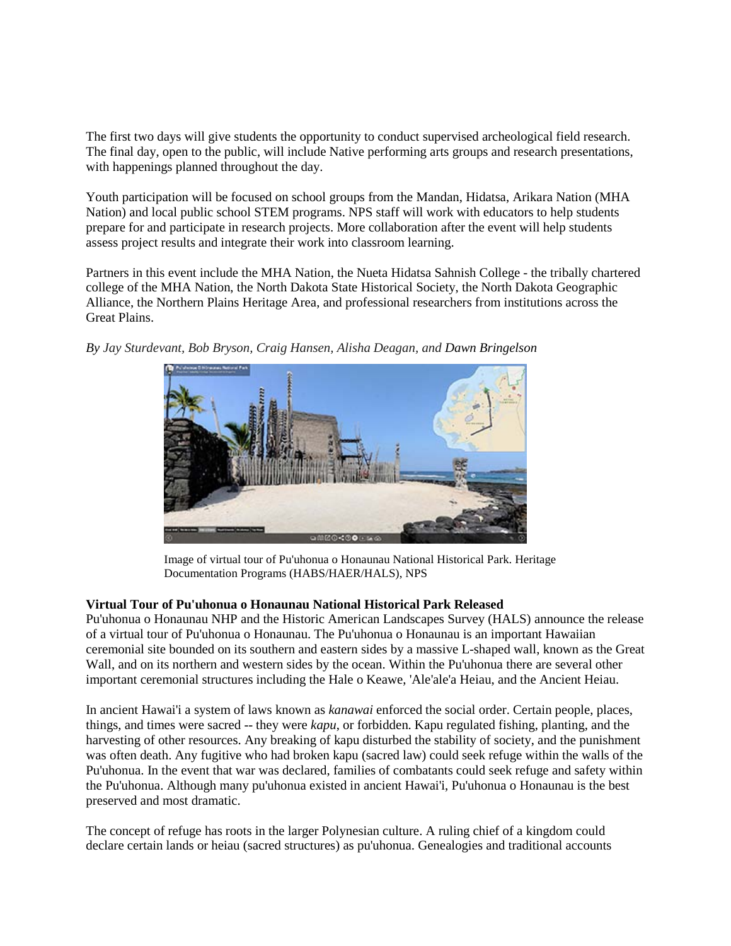The first two days will give students the opportunity to conduct supervised archeological field research. The final day, open to the public, will include Native performing arts groups and research presentations, with happenings planned throughout the day.

Youth participation will be focused on school groups from the Mandan, Hidatsa, Arikara Nation (MHA Nation) and local public school STEM programs. NPS staff will work with educators to help students prepare for and participate in research projects. More collaboration after the event will help students assess project results and integrate their work into classroom learning.

Partners in this event include the MHA Nation, the Nueta Hidatsa Sahnish College - the tribally chartered college of the MHA Nation, the North Dakota State Historical Society, the North Dakota Geographic Alliance, the Northern Plains Heritage Area, and professional researchers from institutions across the Great Plains.

*By Jay Sturdevant, Bob Bryson, Craig Hansen, Alisha Deagan, and Dawn Bringelson* 



Image of virtual tour of Pu'uhonua o Honaunau National Historical Park. Heritage Documentation Programs (HABS/HAER/HALS), NPS

# **Virtual Tour of Pu'uhonua o Honaunau National Historical Park Released**

Pu'uhonua o Honaunau NHP and the Historic American Landscapes Survey (HALS) announce the release of a virtual tour of Pu'uhonua o Honaunau. The Pu'uhonua o Honaunau is an important Hawaiian ceremonial site bounded on its southern and eastern sides by a massive L-shaped wall, known as the Great Wall, and on its northern and western sides by the ocean. Within the Pu'uhonua there are several other important ceremonial structures including the Hale o Keawe, 'Ale'ale'a Heiau, and the Ancient Heiau.

In ancient Hawai'i a system of laws known as *kanawai* enforced the social order. Certain people, places, things, and times were sacred -- they were *kapu*, or forbidden. Kapu regulated fishing, planting, and the harvesting of other resources. Any breaking of kapu disturbed the stability of society, and the punishment was often death. Any fugitive who had broken kapu (sacred law) could seek refuge within the walls of the Pu'uhonua. In the event that war was declared, families of combatants could seek refuge and safety within the Pu'uhonua. Although many pu'uhonua existed in ancient Hawai'i, Pu'uhonua o Honaunau is the best preserved and most dramatic.

The concept of refuge has roots in the larger Polynesian culture. A ruling chief of a kingdom could declare certain lands or [h](https://www.facebook.com/hashtag/heiau?source=feed_text&story_id=1016795055051111)eiau (sacred structures) as pu'uhonua. Genealogies and traditional accounts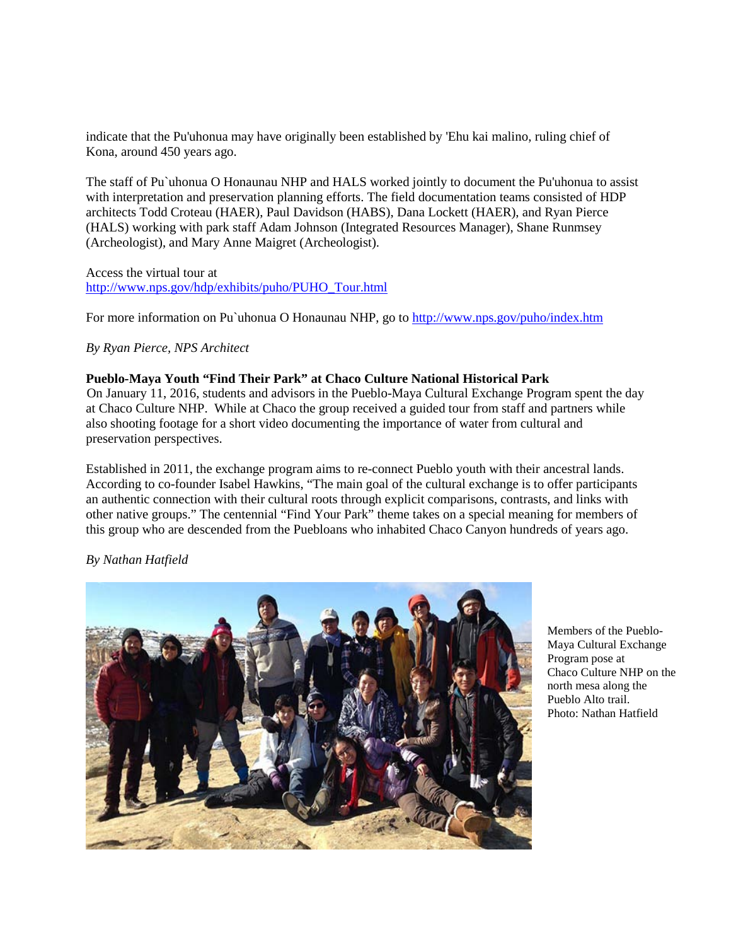indicate that the Pu'uhonua may have originally been established by 'Ehu kai malino, ruling chief of Kona, around 450 years ago.

The staff of Pu`uhonua O Honaunau NHP and HALS worked jointly to document the Pu'uhonua to assist with interpretation and preservation planning efforts. The field documentation teams consisted of HDP architects Todd Croteau (HAER), Paul Davidson (HABS), Dana Lockett (HAER), and Ryan Pierce (HALS) working with park staff Adam Johnson (Integrated Resources Manager), Shane Runmsey (Archeologist), and Mary Anne Maigret (Archeologist).

Access the virtual tour at [http://www.nps.gov/hdp/exhibits/puho/PUHO\\_Tour.html](http://www.nps.gov/hdp/exhibits/puho/PUHO_Tour.html)

For more information on Pu`uhonua O Honaunau NHP, go to [http://www.nps.gov/puho/index.htm](http://l.facebook.com/l.php?u=http%3A%2F%2Fwww.nps.gov%2Fpuho%2Findex.htm&h=jAQH4F2TMAQF0bbZhW4jE6vZs1RiP5aARW2yuZnHQK3jO3w&enc=AZNbZrleJAlYXW9kxUuRtgyj_yxmYclUxMvS78dMmdJs0GURuWYoG8ucBCcPQrrnAkMgOr4aFYtitSqegBYlYEN84Gc9GsCKJvTFoFJpwfnSB_er-70qiZ5eQWAa_mml3LkArhrsB08LMr4MSYkX4H1QBXUwhcWznn7MBzBeP06cloqZmBSFDJdSW7Z3FGWa0lW3jT-adws15Pby8mK8mFCy&s=1)

# *By Ryan Pierce, NPS Architect*

# **Pueblo-Maya Youth "Find Their Park" at Chaco Culture National Historical Park**

On January 11, 2016, students and advisors in the Pueblo-Maya Cultural Exchange Program spent the day at Chaco Culture NHP. While at Chaco the group received a guided tour from staff and partners while also shooting footage for a short video documenting the importance of water from cultural and preservation perspectives.

Established in 2011, the exchange program aims to re-connect Pueblo youth with their ancestral lands. According to co-founder Isabel Hawkins, "The main goal of the cultural exchange is to offer participants an authentic connection with their cultural roots through explicit comparisons, contrasts, and links with other native groups." The centennial "Find Your Park" theme takes on a special meaning for members of this group who are descended from the Puebloans who inhabited Chaco Canyon hundreds of years ago.

# *By Nathan Hatfield*



Members of the Pueblo-Maya Cultural Exchange Program pose at Chaco Culture NHP on the north mesa along the Pueblo Alto trail. Photo: Nathan Hatfield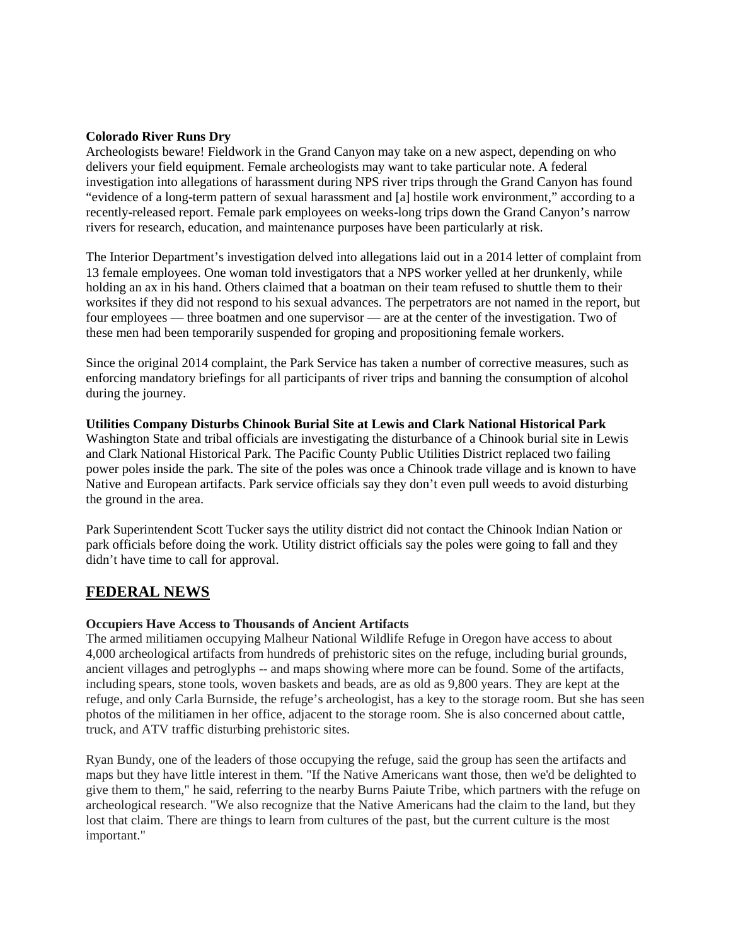### **Colorado River Runs Dry**

Archeologists beware! Fieldwork in the Grand Canyon may take on a new aspect, depending on who delivers your field equipment. Female archeologists may want to take particular note. A federal investigation into allegations of harassment during NPS river trips through the Grand Canyon has found "evidence of a long-term pattern of sexual harassment and [a] hostile work environment," according to a recently-released report. Female park employees on weeks-long trips down the Grand Canyon's narrow rivers for research, education, and maintenance purposes have been particularly at risk.

The Interior Department's investigation delved into allegations laid out in a 2014 letter of complaint from 13 female employees. One woman told investigators that a NPS worker yelled at her drunkenly, while holding an ax in his hand. Others claimed that a boatman on their team refused to shuttle them to their worksites if they did not respond to his sexual advances. The perpetrators are not named in the report, but four employees — three boatmen and one supervisor — are at the center of the investigation. Two of these men had been temporarily suspended for groping and propositioning female workers.

Since the original 2014 complaint, the Park Service has taken a number of corrective measures, such as enforcing mandatory briefings for all participants of river trips and banning the consumption of alcohol during the journey.

**Utilities Company Disturbs Chinook Burial Site at Lewis and Clark National Historical Park** Washington State and tribal officials are investigating the disturbance of a Chinook burial site in Lewis and Clark National Historical Park. The Pacific County Public Utilities District replaced two failing power poles inside the park. The site of the poles was once a Chinook trade village and is known to have Native and European artifacts. Park service officials say they don't even pull weeds to avoid disturbing the ground in the area.

Park Superintendent Scott Tucker says the utility district did not contact the Chinook Indian Nation or park officials before doing the work. Utility district officials say the poles were going to fall and they didn't have time to call for approval.

# **FEDERAL NEWS**

#### **Occupiers Have Access to Thousands of Ancient Artifacts**

The armed militiamen occupying Malheur National Wildlife Refuge in Oregon have access to about 4,000 archeological artifacts from hundreds of prehistoric sites on the refuge, including burial grounds, ancient villages and petroglyphs -- and maps showing where more can be found. Some of the artifacts, including spears, stone tools, woven baskets and beads, are as old as 9,800 years. They are kept at the refuge, and only Carla Burnside, the refuge's archeologist, has a key to the storage room. But she has seen photos of the militiamen in her office, adjacent to the storage room. She is also concerned about cattle, truck, and ATV traffic disturbing prehistoric sites.

Ryan Bundy, one of the leaders of those occupying the refuge, said the group has seen the artifacts and maps but they have little interest in them. "If the Native Americans want those, then we'd be delighted to give them to them," he said, referring to the nearby Burns Paiute Tribe, which partners with the refuge on archeological research. "We also recognize that the Native Americans had the claim to the land, but they lost that claim. There are things to learn from cultures of the past, but the current culture is the most important."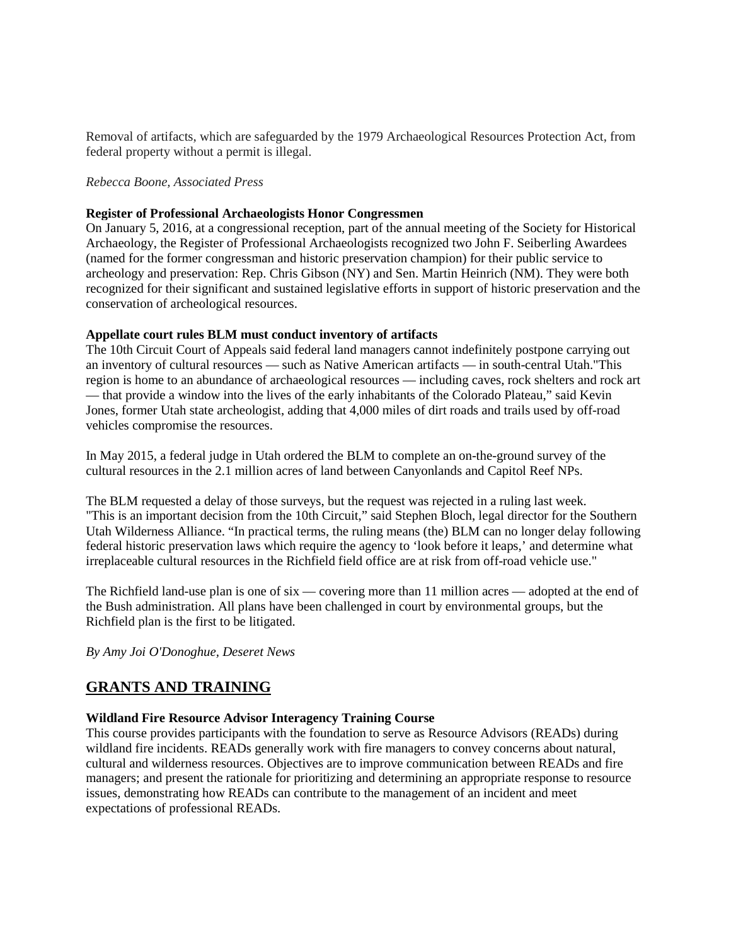Removal of artifacts, which are safeguarded by the 1979 Archaeological Resources Protection Act, from federal property without a permit is illegal.

#### *Rebecca Boone, Associated Press*

### **Register of Professional Archaeologists Honor Congressmen**

On January 5, 2016, at a congressional reception, part of the annual meeting of the Society for Historical Archaeology, the Register of Professional Archaeologists recognized two John F. Seiberling Awardees (named for the former congressman and historic preservation champion) for their public service to archeology and preservation: Rep. Chris Gibson (NY) and Sen. Martin Heinrich (NM). They were both recognized for their significant and sustained legislative efforts in support of historic preservation and the conservation of archeological resources.

# **Appellate court rules BLM must conduct inventory of artifacts**

The 10th Circuit Court of Appeals said federal land managers cannot indefinitely postpone carrying out an inventory of cultural resources — such as Native American artifacts — in south-central Utah."This region is home to an abundance of archaeological resources — including caves, rock shelters and rock art — that provide a window into the lives of the early inhabitants of the Colorado Plateau," said Kevin Jones, former Utah state archeologist, adding that 4,000 miles of dirt roads and trails used by off-road vehicles compromise the resources.

In May 2015, a federal judge in Utah ordered the BLM to complete an on-the-ground survey of the cultural resources in the 2.1 million acres of land between Canyonlands and Capitol Reef NPs.

The BLM requested a delay of those surveys, but the request was rejected in a ruling last week. "This is an important decision from the 10th Circuit," said Stephen Bloch, legal director for the Southern Utah Wilderness Alliance. "In practical terms, the ruling means (the) BLM can no longer delay following federal historic preservation laws which require the agency to 'look before it leaps,' and determine what irreplaceable cultural resources in the Richfield field office are at risk from off-road vehicle use."

The Richfield land-use plan is one of six — covering more than 11 million acres — adopted at the end of the Bush administration. All plans have been challenged in court by environmental groups, but the Richfield plan is the first to be litigated.

*By Amy Joi O'Donoghue, Deseret News*

# **GRANTS AND TRAINING**

# **Wildland Fire Resource Advisor Interagency Training Course**

This course provides participants with the foundation to serve as Resource Advisors (READs) during wildland fire incidents. READs generally work with fire managers to convey concerns about natural, cultural and wilderness resources. Objectives are to improve communication between READs and fire managers; and present the rationale for prioritizing and determining an appropriate response to resource issues, demonstrating how READs can contribute to the management of an incident and meet expectations of professional READs.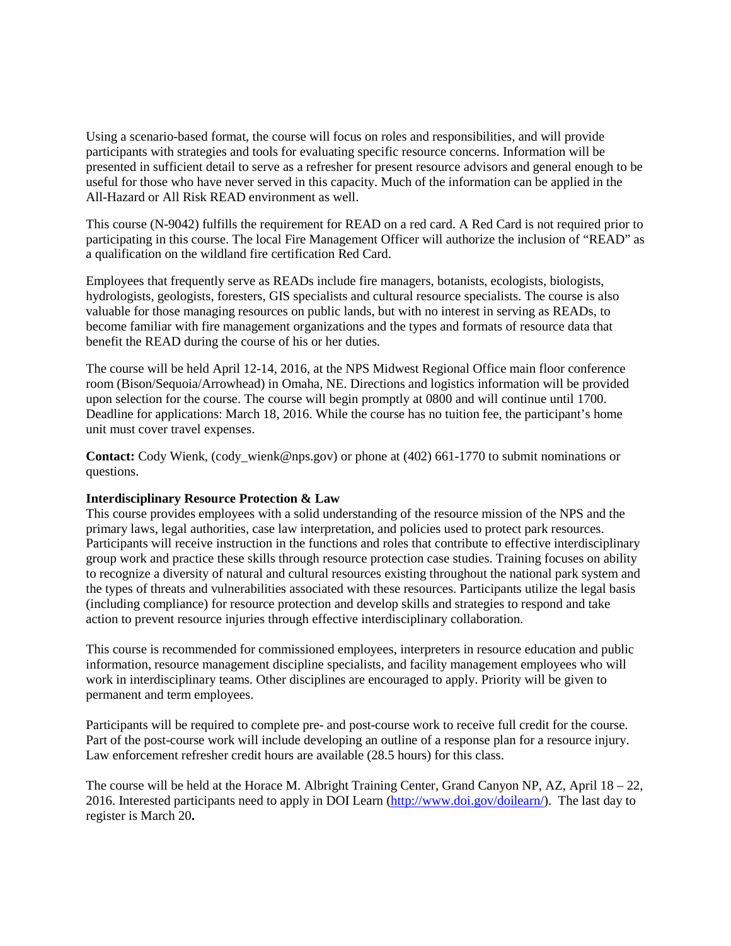Using a scenario-based format, the course will focus on roles and responsibilities, and will provide participants with strategies and tools for evaluating specific resource concerns. Information will be presented in sufficient detail to serve as a refresher for present resource advisors and general enough to be useful for those who have never served in this capacity. Much of the information can be applied in the All-Hazard or All Risk READ environment as well.

This course (N-9042) fulfills the requirement for READ on a red card. A Red Card is not required prior to participating in this course. The local Fire Management Officer will authorize the inclusion of "READ" as a qualification on the wildland fire certification Red Card.

Employees that frequently serve as READs include fire managers, botanists, ecologists, biologists, hydrologists, geologists, foresters, GIS specialists and cultural resource specialists. The course is also valuable for those managing resources on public lands, but with no interest in serving as READs, to become familiar with fire management organizations and the types and formats of resource data that benefit the READ during the course of his or her duties.

The course will be held April 12-14, 2016, at the NPS Midwest Regional Office main floor conference room (Bison/Sequoia/Arrowhead) in Omaha, NE. Directions and logistics information will be provided upon selection for the course. The course will begin promptly at 0800 and will continue until 1700. Deadline for applications: March 18, 2016. While the course has no tuition fee, the participant's home unit must cover travel expenses.

**Contact:** Cody Wienk, (cody wienk@nps.gov) or phone at (402) 661-1770 to submit nominations or questions.

# **Interdisciplinary Resource Protection & Law**

This course provides employees with a solid understanding of the resource mission of the NPS and the primary laws, legal authorities, case law interpretation, and policies used to protect park resources. Participants will receive instruction in the functions and roles that contribute to effective interdisciplinary group work and practice these skills through resource protection case studies. Training focuses on ability to recognize a diversity of natural and cultural resources existing throughout the national park system and the types of threats and vulnerabilities associated with these resources. Participants utilize the legal basis (including compliance) for resource protection and develop skills and strategies to respond and take action to prevent resource injuries through effective interdisciplinary collaboration.

This course is recommended for commissioned employees, interpreters in resource education and public information, resource management discipline specialists, and facility management employees who will work in interdisciplinary teams. Other disciplines are encouraged to apply. Priority will be given to permanent and term employees.

Participants will be required to complete pre- and post-course work to receive full credit for the course. Part of the post-course work will include developing an outline of a response plan for a resource injury. Law enforcement refresher credit hours are available (28.5 hours) for this class.

The course will be held at the Horace M. Albright Training Center, Grand Canyon NP, AZ, April 18 – 22, 2016. Interested participants need to apply in DOI Learn [\(http://www.doi.gov/doilearn/\)](http://www.doi.gov/doilearn/). The last day to register is March 20**.**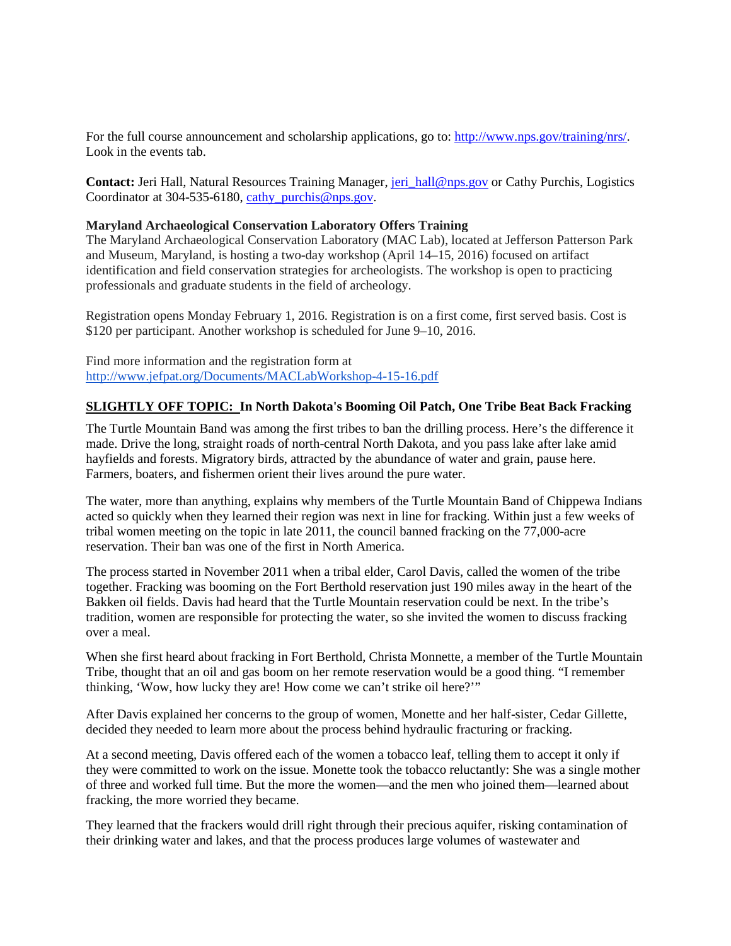For the full course announcement and scholarship applications, go to: [http://www.nps.gov/training/nrs/.](http://www.nps.gov/training/nrs/) Look in the events tab.

**Contact:** Jeri Hall, Natural Resources Training Manager[, jeri\\_hall@nps.gov](mailto:jeri_hall@nps.gov) or Cathy Purchis, Logistics Coordinator at 304-535-6180, cathy purchis@nps.gov.

### **Maryland Archaeological Conservation Laboratory Offers Training**

The Maryland Archaeological Conservation Laboratory (MAC Lab), located at Jefferson Patterson Park and Museum, Maryland, is hosting a two-day workshop (April 14–15, 2016) focused on artifact identification and field conservation strategies for archeologists. The workshop is open to practicing professionals and graduate students in the field of archeology.

Registration opens Monday February 1, 2016. Registration is on a first come, first served basis. Cost is \$120 per participant. Another workshop is scheduled for June 9–10, 2016.

Find more information and the registration form at <http://www.jefpat.org/Documents/MACLabWorkshop-4-15-16.pdf>

# **SLIGHTLY OFF TOPIC: In North Dakota's Booming Oil Patch, One Tribe Beat Back Fracking**

The Turtle Mountain Band was among the first tribes to ban the drilling process. Here's the difference it made. Drive the long, straight roads of north-central North Dakota, and you pass lake after lake amid hayfields and forests. Migratory birds, attracted by the abundance of water and grain, pause here. Farmers, boaters, and fishermen orient their lives around the pure water.

The water, more than anything, explains why members of the Turtle Mountain Band of Chippewa Indians acted so quickly when they learned their region was next in line for fracking. Within just a few weeks of tribal women meeting on the topic in late 2011, the council banned fracking on the 77,000-acre reservation. Their ban was one of the first in North America.

The process started in November 2011 when a tribal elder, Carol Davis, called the women of the tribe together. Fracking was booming on the Fort Berthold reservation just 190 miles away in the heart of the Bakken oil fields. Davis had heard that the Turtle Mountain reservation could be next. In the tribe's tradition, women are responsible for protecting the water, so she invited the women to discuss fracking over a meal.

When she first heard about fracking in Fort Berthold, Christa Monnette, a member of the Turtle Mountain Tribe, thought that an oil and gas boom on her remote reservation would be a good thing. "I remember thinking, 'Wow, how lucky they are! How come we can't strike oil here?'"

After Davis explained her concerns to the group of women, Monette and her half-sister, Cedar Gillette, decided they needed to learn more about the process behind hydraulic fracturing or fracking.

At a second meeting, Davis offered each of the women a tobacco leaf, telling them to accept it only if they were committed to work on the issue. Monette took the tobacco reluctantly: She was a single mother of three and worked full time. But the more the women—and the men who joined them—learned about fracking, the more worried they became.

They learned that the frackers would drill right through their precious aquifer, risking contamination of their drinking water and lakes, and that the process produces large volumes of wastewater and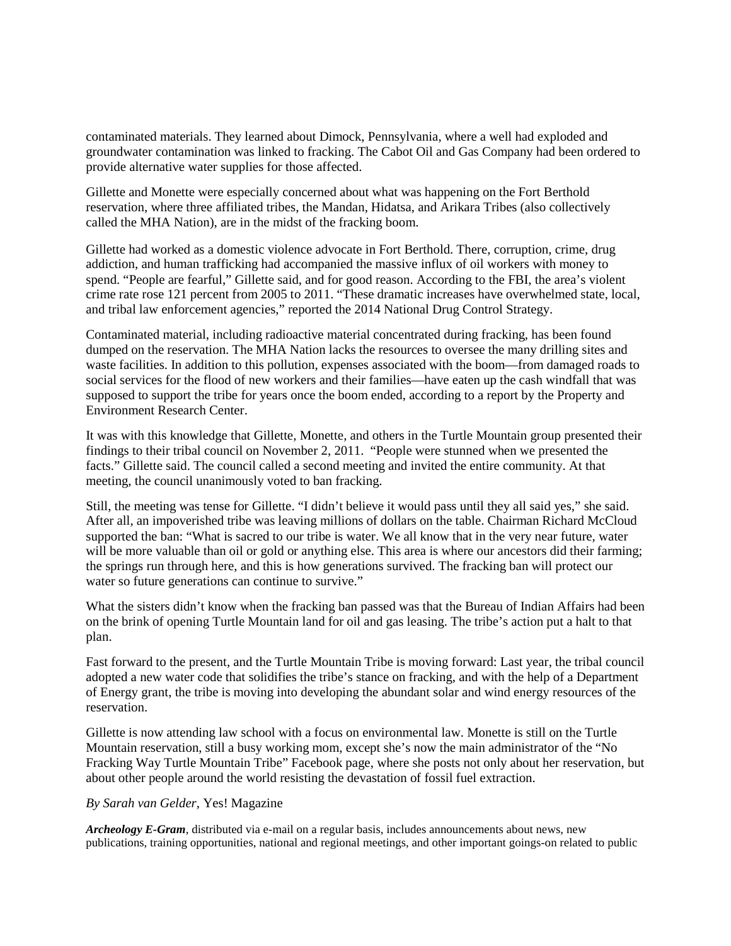contaminated materials. They learned about Dimock, Pennsylvania, where a well had exploded and groundwater contamination was linked to fracking. The Cabot Oil and Gas Company had been ordered to provide alternative water supplies for those affected.

Gillette and Monette were especially concerned about what was happening on the Fort Berthold reservation, where three affiliated tribes, the Mandan, Hidatsa, and Arikara Tribes (also collectively called the MHA Nation), are in the midst of the fracking boom.

Gillette had worked as a domestic violence advocate in Fort Berthold. There, corruption, crime, drug addiction, and human trafficking had accompanied the massive influx of oil workers with money to spend. "People are fearful," Gillette said, and for good reason. According to the FBI, the area's violent crime rate rose 121 percent from 2005 to 2011. "These dramatic increases have overwhelmed state, local, and tribal law enforcement agencies," reported the 2014 National Drug Control Strategy.

Contaminated material, including radioactive material concentrated during fracking, has been found dumped on the reservation. The MHA Nation lacks the resources to oversee the many drilling sites and waste facilities. In addition to this pollution, expenses associated with the boom—from damaged roads to social services for the flood of new workers and their families—have eaten up the cash windfall that was supposed to support the tribe for years once the boom ended, according to a report by the Property and Environment Research Center.

It was with this knowledge that Gillette, Monette, and others in the Turtle Mountain group presented their findings to their tribal council on November 2, 2011. "People were stunned when we presented the facts." Gillette said. The council called a second meeting and invited the entire community. At that meeting, the council unanimously voted to ban fracking.

Still, the meeting was tense for Gillette. "I didn't believe it would pass until they all said yes," she said. After all, an impoverished tribe was leaving millions of dollars on the table. Chairman Richard McCloud supported the ban: "What is sacred to our tribe is water. We all know that in the very near future, water will be more valuable than oil or gold or anything else. This area is where our ancestors did their farming; the springs run through here, and this is how generations survived. The fracking ban will protect our water so future generations can continue to survive."

What the sisters didn't know when the fracking ban passed was that the Bureau of Indian Affairs had been on the brink of opening Turtle Mountain land for oil and gas leasing. The tribe's action put a halt to that plan.

Fast forward to the present, and the Turtle Mountain Tribe is moving forward: Last year, the tribal council adopted a new water code that solidifies the tribe's stance on fracking, and with the help of a Department of Energy grant, the tribe is moving into developing the abundant solar and wind energy resources of the reservation.

Gillette is now attending law school with a focus on environmental law. Monette is still on the Turtle Mountain reservation, still a busy working mom, except she's now the main administrator of the "No Fracking Way Turtle Mountain Tribe" Facebook page, where she posts not only about her reservation, but about other people around the world resisting the devastation of fossil fuel extraction.

#### *By [Sarah van Gelder](http://www.yesmagazine.org/@@also-by?author=Sarah+van+Gelder)*, Yes! Magazine

*Archeology E-Gram*, distributed via e-mail on a regular basis, includes announcements about news, new publications, training opportunities, national and regional meetings, and other important goings-on related to public